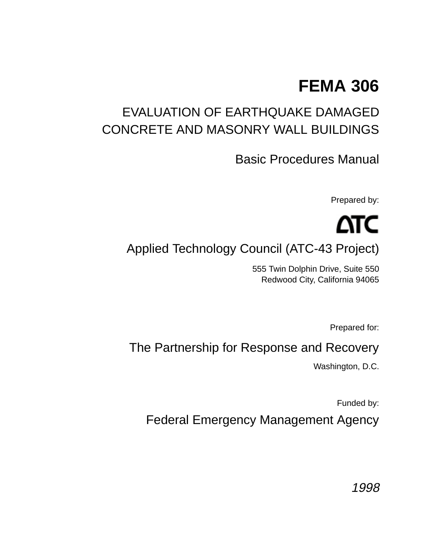## **FEMA 306**

## EVALUATION OF EARTHQUAKE DAMAGED CONCRETE AND MASONRY WALL BUILDINGS

Basic Procedures Manual

Prepared by:

# ΔTC

Applied Technology Council (ATC-43 Project)

555 Twin Dolphin Drive, Suite 550 Redwood City, California 94065

Prepared for:

## The Partnership for Response and Recovery

Washington, D.C.

Funded by:

Federal Emergency Management Agency

1998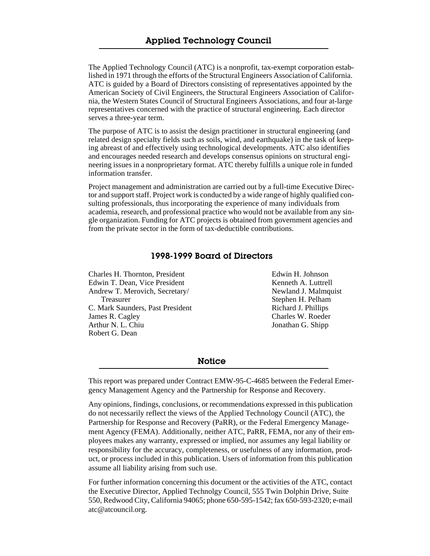The Applied Technology Council (ATC) is a nonprofit, tax-exempt corporation established in 1971 through the efforts of the Structural Engineers Association of California. ATC is guided by a Board of Directors consisting of representatives appointed by the American Society of Civil Engineers, the Structural Engineers Association of California, the Western States Council of Structural Engineers Associations, and four at-large representatives concerned with the practice of structural engineering. Each director serves a three-year term.

The purpose of ATC is to assist the design practitioner in structural engineering (and related design specialty fields such as soils, wind, and earthquake) in the task of keeping abreast of and effectively using technological developments. ATC also identifies and encourages needed research and develops consensus opinions on structural engineering issues in a nonproprietary format. ATC thereby fulfills a unique role in funded information transfer.

Project management and administration are carried out by a full-time Executive Director and support staff. Project work is conducted by a wide range of highly qualified consulting professionals, thus incorporating the experience of many individuals from academia, research, and professional practice who would not be available from any single organization. Funding for ATC projects is obtained from government agencies and from the private sector in the form of tax-deductible contributions.

#### 1998-1999 Board of Directors

Charles H. Thornton, President Edwin T. Dean, Vice President Andrew T. Merovich, Secretary/ Treasurer C. Mark Saunders, Past President James R. Cagley Arthur N. L. Chiu Robert G. Dean

Edwin H. Johnson Kenneth A. Luttrell Newland J. Malmquist Stephen H. Pelham Richard J. Phillips Charles W. Roeder Jonathan G. Shipp

**Notice** 

This report was prepared under Contract EMW-95-C-4685 between the Federal Emergency Management Agency and the Partnership for Response and Recovery.

Any opinions, findings, conclusions, or recommendations expressed in this publication do not necessarily reflect the views of the Applied Technology Council (ATC), the Partnership for Response and Recovery (PaRR), or the Federal Emergency Management Agency (FEMA). Additionally, neither ATC, PaRR, FEMA, nor any of their employees makes any warranty, expressed or implied, nor assumes any legal liability or responsibility for the accuracy, completeness, or usefulness of any information, product, or process included in this publication. Users of information from this publication assume all liability arising from such use.

For further information concerning this document or the activities of the ATC, contact the Executive Director, Applied Technolgy Council, 555 Twin Dolphin Drive, Suite 550, Redwood City, California 94065; phone 650-595-1542; fax 650-593-2320; e-mail atc@atcouncil.org.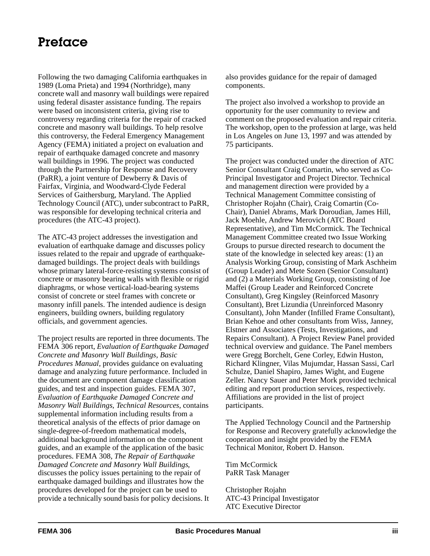#### Preface

Following the two damaging California earthquakes in 1989 (Loma Prieta) and 1994 (Northridge), many concrete wall and masonry wall buildings were repaired using federal disaster assistance funding. The repairs were based on inconsistent criteria, giving rise to controversy regarding criteria for the repair of cracked concrete and masonry wall buildings. To help resolve this controversy, the Federal Emergency Management Agency (FEMA) initiated a project on evaluation and repair of earthquake damaged concrete and masonry wall buildings in 1996. The project was conducted through the Partnership for Response and Recovery (PaRR), a joint venture of Dewberry & Davis of Fairfax, Virginia, and Woodward-Clyde Federal Services of Gaithersburg, Maryland. The Applied Technology Council (ATC), under subcontract to PaRR, was responsible for developing technical criteria and procedures (the ATC-43 project).

The ATC-43 project addresses the investigation and evaluation of earthquake damage and discusses policy issues related to the repair and upgrade of earthquakedamaged buildings. The project deals with buildings whose primary lateral-force-resisting systems consist of concrete or masonry bearing walls with flexible or rigid diaphragms, or whose vertical-load-bearing systems consist of concrete or steel frames with concrete or masonry infill panels. The intended audience is design engineers, building owners, building regulatory officials, and government agencies.

The project results are reported in three documents. The FEMA 306 report, *Evaluation of Earthquake Damaged Concrete and Masonry Wall Buildings, Basic Procedures Manual,* provides guidance on evaluating damage and analyzing future performance. Included in the document are component damage classification guides, and test and inspection guides. FEMA 307, *Evaluation of Earthquake Damaged Concrete and Masonry Wall Buildings, Technical Resources*, contains supplemental information including results from a theoretical analysis of the effects of prior damage on single-degree-of-freedom mathematical models, additional background information on the component guides, and an example of the application of the basic procedures. FEMA 308, *The Repair of Earthquake Damaged Concrete and Masonry Wall Buildings*, discusses the policy issues pertaining to the repair of earthquake damaged buildings and illustrates how the procedures developed for the project can be used to provide a technically sound basis for policy decisions. It also provides guidance for the repair of damaged components.

The project also involved a workshop to provide an opportunity for the user community to review and comment on the proposed evaluation and repair criteria. The workshop, open to the profession at large, was held in Los Angeles on June 13, 1997 and was attended by 75 participants.

The project was conducted under the direction of ATC Senior Consultant Craig Comartin, who served as Co-Principal Investigator and Project Director. Technical and management direction were provided by a Technical Management Committee consisting of Christopher Rojahn (Chair), Craig Comartin (Co-Chair), Daniel Abrams, Mark Doroudian, James Hill, Jack Moehle, Andrew Merovich (ATC Board Representative), and Tim McCormick. The Technical Management Committee created two Issue Working Groups to pursue directed research to document the state of the knowledge in selected key areas: (1) an Analysis Working Group, consisting of Mark Aschheim (Group Leader) and Mete Sozen (Senior Consultant) and (2) a Materials Working Group, consisting of Joe Maffei (Group Leader and Reinforced Concrete Consultant), Greg Kingsley (Reinforced Masonry Consultant), Bret Lizundia (Unreinforced Masonry Consultant), John Mander (Infilled Frame Consultant), Brian Kehoe and other consultants from Wiss, Janney, Elstner and Associates (Tests, Investigations, and Repairs Consultant). A Project Review Panel provided technical overview and guidance. The Panel members were Gregg Borchelt, Gene Corley, Edwin Huston, Richard Klingner, Vilas Mujumdar, Hassan Sassi, Carl Schulze, Daniel Shapiro, James Wight, and Eugene Zeller. Nancy Sauer and Peter Mork provided technical editing and report production services, respectively. Affiliations are provided in the list of project participants.

The Applied Technology Council and the Partnership for Response and Recovery gratefully acknowledge the cooperation and insight provided by the FEMA Technical Monitor, Robert D. Hanson.

Tim McCormick PaRR Task Manager

Christopher Rojahn ATC-43 Principal Investigator ATC Executive Director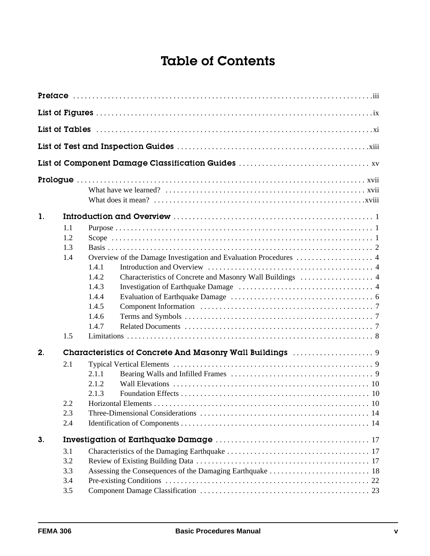## Table of Contents

| $\mathbf{1}$ . |                                 |                                                                                                                          |
|----------------|---------------------------------|--------------------------------------------------------------------------------------------------------------------------|
|                | 1.1<br>1.2<br>1.3<br>1.4<br>1.5 | 1.4.1<br>Characteristics of Concrete and Masonry Wall Buildings  4<br>1.4.2<br>1.4.3<br>1.4.4<br>1.4.5<br>1.4.6<br>1.4.7 |
| 2 <sub>1</sub> |                                 |                                                                                                                          |
|                | 2.1<br>2.2<br>2.3<br>2.4        | 2.1.1<br>2.1.2<br>2.1.3                                                                                                  |
| 3.             |                                 |                                                                                                                          |
|                | 3.1                             |                                                                                                                          |
|                | 3.2                             |                                                                                                                          |
|                | 3.3                             |                                                                                                                          |
|                | 3.4                             |                                                                                                                          |
|                | 3.5                             |                                                                                                                          |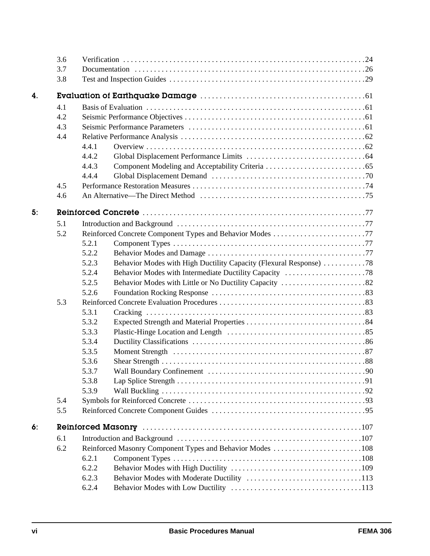|                | 3.6 |       |                                                                    |  |
|----------------|-----|-------|--------------------------------------------------------------------|--|
|                | 3.7 |       |                                                                    |  |
|                | 3.8 |       |                                                                    |  |
| $\overline{4}$ |     |       |                                                                    |  |
|                | 4.1 |       |                                                                    |  |
|                | 4.2 |       |                                                                    |  |
|                | 4.3 |       |                                                                    |  |
|                | 4.4 |       |                                                                    |  |
|                |     | 4.4.1 |                                                                    |  |
|                |     | 4.4.2 |                                                                    |  |
|                |     | 4.4.3 |                                                                    |  |
|                |     | 4.4.4 |                                                                    |  |
|                | 4.5 |       |                                                                    |  |
|                | 4.6 |       |                                                                    |  |
| 5.             |     |       |                                                                    |  |
|                | 5.1 |       |                                                                    |  |
|                | 5.2 |       |                                                                    |  |
|                |     | 5.2.1 |                                                                    |  |
|                |     | 5.2.2 |                                                                    |  |
|                |     | 5.2.3 | Behavior Modes with High Ductility Capacity (Flexural Response) 78 |  |
|                |     | 5.2.4 |                                                                    |  |
|                |     | 5.2.5 |                                                                    |  |
|                |     | 5.2.6 |                                                                    |  |
|                | 5.3 |       |                                                                    |  |
|                |     | 5.3.1 |                                                                    |  |
|                |     | 5.3.2 |                                                                    |  |
|                |     | 5.3.3 |                                                                    |  |
|                |     | 5.3.4 |                                                                    |  |
|                |     | 5.3.5 |                                                                    |  |
|                |     | 5.3.6 |                                                                    |  |
|                |     | 5.3.7 |                                                                    |  |
|                |     | 5.3.8 |                                                                    |  |
|                |     | 5.3.9 |                                                                    |  |
|                | 5.4 |       |                                                                    |  |
|                | 5.5 |       |                                                                    |  |
| 6.             |     |       |                                                                    |  |
|                | 6.1 |       |                                                                    |  |
|                | 6.2 |       | Reinforced Masonry Component Types and Behavior Modes 108          |  |
|                |     | 6.2.1 |                                                                    |  |
|                |     | 6.2.2 |                                                                    |  |
|                |     | 6.2.3 |                                                                    |  |
|                |     | 6.2.4 |                                                                    |  |
|                |     |       |                                                                    |  |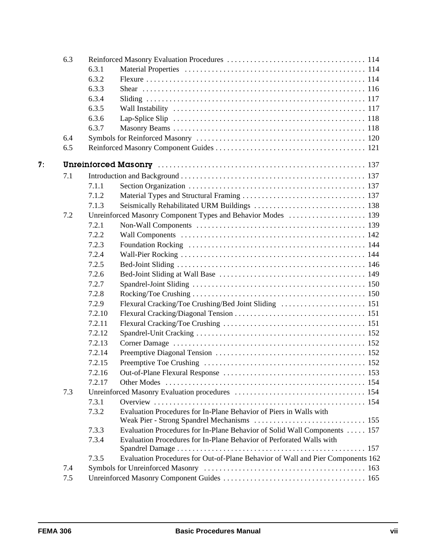| 6.3            |     |        |                                                                                 |
|----------------|-----|--------|---------------------------------------------------------------------------------|
|                |     | 6.3.1  |                                                                                 |
|                |     | 6.3.2  |                                                                                 |
|                |     | 6.3.3  |                                                                                 |
|                |     | 6.3.4  |                                                                                 |
|                |     | 6.3.5  |                                                                                 |
|                |     | 6.3.6  |                                                                                 |
|                |     | 6.3.7  |                                                                                 |
|                | 6.4 |        |                                                                                 |
|                | 6.5 |        |                                                                                 |
| 7 <sup>1</sup> |     |        |                                                                                 |
|                | 7.1 |        |                                                                                 |
|                |     | 7.1.1  |                                                                                 |
|                |     | 7.1.2  |                                                                                 |
|                |     | 7.1.3  |                                                                                 |
|                | 7.2 |        |                                                                                 |
|                |     | 7.2.1  |                                                                                 |
|                |     | 7.2.2  |                                                                                 |
|                |     | 7.2.3  |                                                                                 |
|                |     | 7.2.4  |                                                                                 |
|                |     | 7.2.5  |                                                                                 |
|                |     | 7.2.6  |                                                                                 |
|                |     | 7.2.7  |                                                                                 |
|                |     | 7.2.8  |                                                                                 |
|                |     | 7.2.9  |                                                                                 |
|                |     | 7.2.10 |                                                                                 |
|                |     | 7.2.11 |                                                                                 |
|                |     | 7.2.12 |                                                                                 |
|                |     | 7.2.13 |                                                                                 |
|                |     | 7.2.14 |                                                                                 |
|                |     | 7.2.15 |                                                                                 |
|                |     | 7.2.16 |                                                                                 |
|                |     | 7.2.17 |                                                                                 |
|                | 7.3 |        |                                                                                 |
|                |     | 7.3.1  |                                                                                 |
|                |     | 7.3.2  | Evaluation Procedures for In-Plane Behavior of Piers in Walls with              |
|                |     |        |                                                                                 |
|                |     | 7.3.3  | Evaluation Procedures for In-Plane Behavior of Solid Wall Components  157       |
|                |     | 7.3.4  | Evaluation Procedures for In-Plane Behavior of Perforated Walls with            |
|                |     |        |                                                                                 |
|                |     | 7.3.5  | Evaluation Procedures for Out-of-Plane Behavior of Wall and Pier Components 162 |
|                | 7.4 |        |                                                                                 |
|                | 7.5 |        |                                                                                 |
|                |     |        |                                                                                 |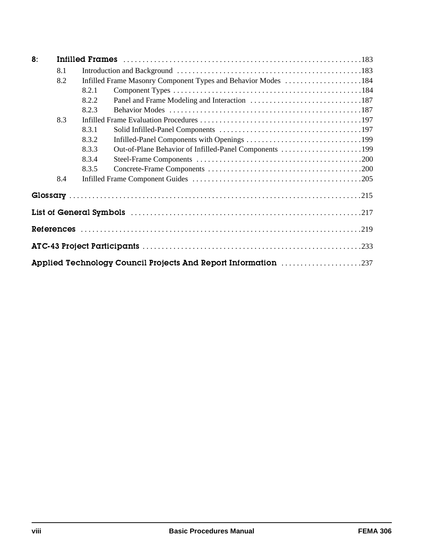| 8. |     |       |                                                                       |  |
|----|-----|-------|-----------------------------------------------------------------------|--|
|    | 8.1 |       |                                                                       |  |
|    | 8.2 |       | Infilled Frame Masonry Component Types and Behavior Modes 184         |  |
|    |     | 8.2.1 |                                                                       |  |
|    |     | 8.2.2 |                                                                       |  |
|    |     | 8.2.3 |                                                                       |  |
|    | 8.3 |       |                                                                       |  |
|    |     | 8.3.1 |                                                                       |  |
|    |     | 8.3.2 |                                                                       |  |
|    |     | 8.3.3 | Out-of-Plane Behavior of Infilled-Panel Components 199                |  |
|    |     | 8.3.4 |                                                                       |  |
|    |     | 8.3.5 |                                                                       |  |
|    | 8.4 |       |                                                                       |  |
|    |     |       |                                                                       |  |
|    |     |       |                                                                       |  |
|    |     |       |                                                                       |  |
|    |     |       |                                                                       |  |
|    |     |       | <b>Applied Technology Council Projects And Report Information 237</b> |  |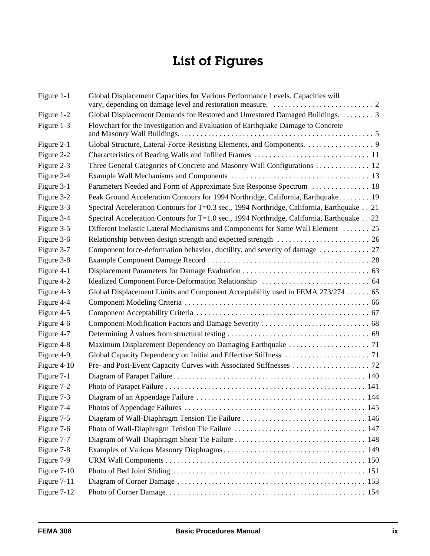## List of Figures

| Figure 1-1  | Global Displacement Capacities for Various Performance Levels. Capacities will            |  |
|-------------|-------------------------------------------------------------------------------------------|--|
| Figure 1-2  | Global Displacement Demands for Restored and Unrestored Damaged Buildings. 3              |  |
| Figure 1-3  | Flowchart for the Investigation and Evaluation of Earthquake Damage to Concrete           |  |
| Figure 2-1  |                                                                                           |  |
| Figure 2-2  |                                                                                           |  |
| Figure 2-3  | Three General Categories of Concrete and Masonry Wall Configurations  12                  |  |
| Figure 2-4  |                                                                                           |  |
| Figure 3-1  | Parameters Needed and Form of Approximate Site Response Spectrum  18                      |  |
| Figure 3-2  | Peak Ground Acceleration Contours for 1994 Northridge, California, Earthquake 19          |  |
| Figure 3-3  | Spectral Acceleration Contours for T=0.3 sec., 1994 Northridge, California, Earthquake 21 |  |
| Figure 3-4  | Spectral Acceleration Contours for T=1.0 sec., 1994 Northridge, California, Earthquake 22 |  |
| Figure 3-5  | Different Inelastic Lateral Mechanisms and Components for Same Wall Element  25           |  |
| Figure 3-6  |                                                                                           |  |
| Figure 3-7  | Component force-deformation behavior, ductility, and severity of damage  27               |  |
| Figure 3-8  |                                                                                           |  |
| Figure 4-1  |                                                                                           |  |
| Figure 4-2  |                                                                                           |  |
| Figure 4-3  | Global Displacement Limits and Component Acceptability used in FEMA 273/274  65           |  |
| Figure 4-4  |                                                                                           |  |
| Figure 4-5  |                                                                                           |  |
| Figure 4-6  |                                                                                           |  |
| Figure 4-7  |                                                                                           |  |
| Figure 4-8  |                                                                                           |  |
| Figure 4-9  |                                                                                           |  |
| Figure 4-10 |                                                                                           |  |
| Figure 7-1  |                                                                                           |  |
| Figure 7-2  |                                                                                           |  |
| Figure 7-3  |                                                                                           |  |
| Figure 7-4  |                                                                                           |  |
| Figure 7-5  |                                                                                           |  |
| Figure 7-6  |                                                                                           |  |
| Figure 7-7  |                                                                                           |  |
| Figure 7-8  |                                                                                           |  |
| Figure 7-9  |                                                                                           |  |
| Figure 7-10 |                                                                                           |  |
| Figure 7-11 |                                                                                           |  |
| Figure 7-12 |                                                                                           |  |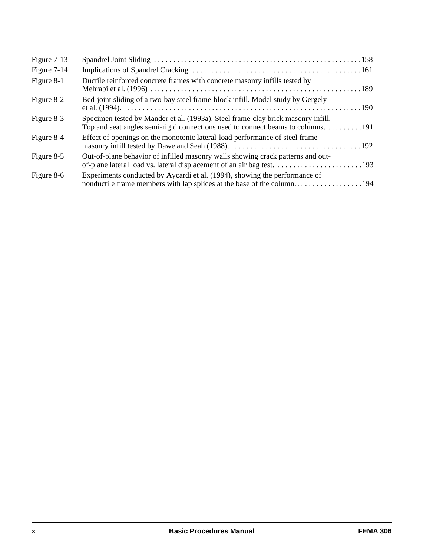| Figure 7-13 |                                                                                                                                                                      |  |
|-------------|----------------------------------------------------------------------------------------------------------------------------------------------------------------------|--|
| Figure 7-14 |                                                                                                                                                                      |  |
| Figure 8-1  | Ductile reinforced concrete frames with concrete masonry infills tested by                                                                                           |  |
| Figure 8-2  | Bed-joint sliding of a two-bay steel frame-block infill. Model study by Gergely                                                                                      |  |
| Figure 8-3  | Specimen tested by Mander et al. (1993a). Steel frame-clay brick masonry infill.<br>Top and seat angles semi-rigid connections used to connect beams to columns. 191 |  |
| Figure 8-4  | Effect of openings on the monotonic lateral-load performance of steel frame-                                                                                         |  |
| Figure 8-5  | Out-of-plane behavior of infilled masonry walls showing crack patterns and out-                                                                                      |  |
| Figure 8-6  | Experiments conducted by Aycardi et al. (1994), showing the performance of                                                                                           |  |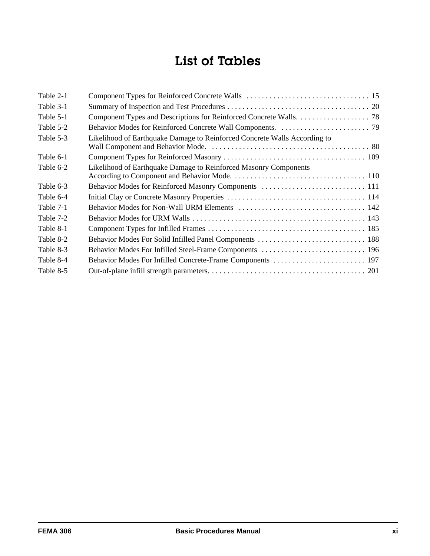## List of Tables

| Table 2-1 |                                                                           |  |
|-----------|---------------------------------------------------------------------------|--|
| Table 3-1 |                                                                           |  |
| Table 5-1 |                                                                           |  |
| Table 5-2 |                                                                           |  |
| Table 5-3 | Likelihood of Earthquake Damage to Reinforced Concrete Walls According to |  |
| Table 6-1 |                                                                           |  |
| Table 6-2 | Likelihood of Earthquake Damage to Reinforced Masonry Components          |  |
| Table 6-3 |                                                                           |  |
| Table 6-4 |                                                                           |  |
| Table 7-1 |                                                                           |  |
| Table 7-2 |                                                                           |  |
| Table 8-1 |                                                                           |  |
| Table 8-2 |                                                                           |  |
| Table 8-3 |                                                                           |  |
| Table 8-4 |                                                                           |  |
| Table 8-5 |                                                                           |  |
|           |                                                                           |  |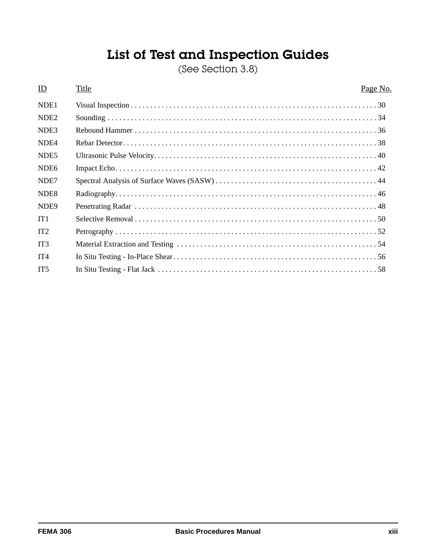## List of Test and Inspection Guides

(See Section 3.8)

#### ID Title Page No. NDE1 Visual Inspection . . . . . . . . . . . . . . . . . . . . . . . . . . . . . . . . . . . . . . . . . . . . . . . . . . . . . . . . . . . . . . . . 30 NDE2 Sounding . . . . . . . . . . . . . . . . . . . . . . . . . . . . . . . . . . . . . . . . . . . . . . . . . . . . . . . . . . . . . . . . . . . . . . 34 NDE3 Rebound Hammer . . . . . . . . . . . . . . . . . . . . . . . . . . . . . . . . . . . . . . . . . . . . . . . . . . . . . . . . . . . . . . . 36 NDE4 Rebar Detector. . . . . . . . . . . . . . . . . . . . . . . . . . . . . . . . . . . . . . . . . . . . . . . . . . . . . . . . . . . . . . . . . . 38 NDE5 Ultrasonic Pulse Velocity. . . . . . . . . . . . . . . . . . . . . . . . . . . . . . . . . . . . . . . . . . . . . . . . . . . . . . . . . . 40 NDE6 Impact Echo. . . . . . . . . . . . . . . . . . . . . . . . . . . . . . . . . . . . . . . . . . . . . . . . . . . . . . . . . . . . . . . . . . . . 42 NDE7 Spectral Analysis of Surface Waves (SASW) . . . . . . . . . . . . . . . . . . . . . . . . . . . . . . . . . . . . . . . . . . 44 NDE8 Radiography. . . . . . . . . . . . . . . . . . . . . . . . . . . . . . . . . . . . . . . . . . . . . . . . . . . . . . . . . . . . . . . . . . . . 46 NDE9 Penetrating Radar . . . . . . . . . . . . . . . . . . . . . . . . . . . . . . . . . . . . . . . . . . . . . . . . . . . . . . . . . . . . . . . 48 IT1 Selective Removal . . . . . . . . . . . . . . . . . . . . . . . . . . . . . . . . . . . . . . . . . . . . . . . . . . . . . . . . . . . . . . . 50 IT2 Petrography . . . . . . . . . . . . . . . . . . . . . . . . . . . . . . . . . . . . . . . . . . . . . . . . . . . . . . . . . . . . . . . . . . . . 52 IT3 Material Extraction and Testing . . . . . . . . . . . . . . . . . . . . . . . . . . . . . . . . . . . . . . . . . . . . . . . . . . . . 54 IT4 In Situ Testing - In-Place Shear. . . . . . . . . . . . . . . . . . . . . . . . . . . . . . . . . . . . . . . . . . . . . . . . . . . . . 56 IT5 In Situ Testing - Flat Jack . . . . . . . . . . . . . . . . . . . . . . . . . . . . . . . . . . . . . . . . . . . . . . . . . . . . . . . . . 58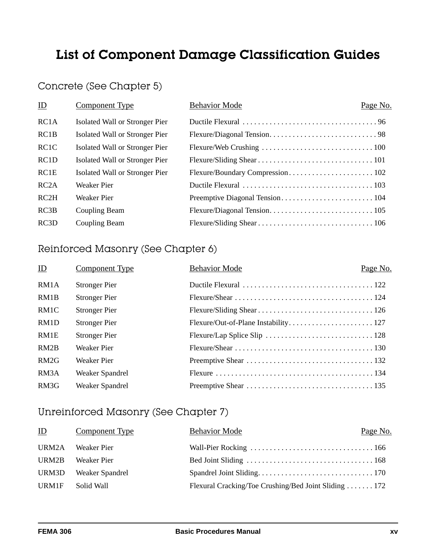## List of Component Damage Classification Guides

#### Concrete (See Chapter 5)

| ID                | <b>Component Type</b>          | <b>Behavior Mode</b> | Page No. |
|-------------------|--------------------------------|----------------------|----------|
| RC <sub>1</sub> A | Isolated Wall or Stronger Pier |                      |          |
| RC1B              | Isolated Wall or Stronger Pier |                      |          |
| RC <sub>1</sub> C | Isolated Wall or Stronger Pier |                      |          |
| RC <sub>1</sub> D | Isolated Wall or Stronger Pier |                      |          |
| RC1E              | Isolated Wall or Stronger Pier |                      |          |
| RC2A              | Weaker Pier                    |                      |          |
| RC2H              | Weaker Pier                    |                      |          |
| RC3B              | Coupling Beam                  |                      |          |
| RC3D              | Coupling Beam                  |                      |          |

#### Reinforced Masonry (See Chapter 6)

| ID   | Component Type       | <b>Behavior Mode</b> | Page No. |
|------|----------------------|----------------------|----------|
| RM1A | <b>Stronger Pier</b> |                      |          |
| RM1B | <b>Stronger Pier</b> |                      |          |
| RM1C | <b>Stronger Pier</b> |                      |          |
| RM1D | <b>Stronger Pier</b> |                      |          |
| RM1E | <b>Stronger Pier</b> |                      |          |
| RM2B | Weaker Pier          |                      |          |
| RM2G | Weaker Pier          |                      |          |
| RM3A | Weaker Spandrel      |                      |          |
| RM3G | Weaker Spandrel      |                      |          |

#### Unreinforced Masonry (See Chapter 7)

| $\mathbf{D}$ | Component Type  | <b>Behavior Mode</b>                                  | Page No. |
|--------------|-----------------|-------------------------------------------------------|----------|
| URM2A        | Weaker Pier     |                                                       |          |
| URM2B        | Weaker Pier     |                                                       |          |
| URM3D        | Weaker Spandrel |                                                       |          |
| URM1F        | Solid Wall      | Flexural Cracking/Toe Crushing/Bed Joint Sliding  172 |          |